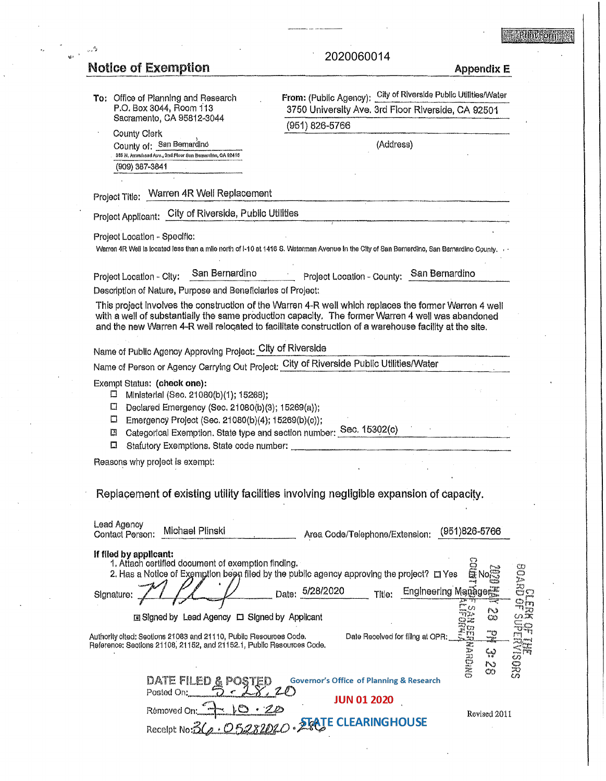## **Explanation**

# Motice of Exemption 2020060014<br>Notice of Exemption

لأربا

# 2020060014

| To: Office of Planning and Research                                                                              | From: (Public Agency): City of Riverside Public Utilities/Water                                                                                                                                                                                                                                                     |
|------------------------------------------------------------------------------------------------------------------|---------------------------------------------------------------------------------------------------------------------------------------------------------------------------------------------------------------------------------------------------------------------------------------------------------------------|
| P.O. Box 3044, Room 113<br>Sacramento, CA 95812-3044                                                             | 3750 University Ave. 3rd Floor Riverside, CA 92501                                                                                                                                                                                                                                                                  |
| <b>County Clerk</b>                                                                                              | (951) 826-5766                                                                                                                                                                                                                                                                                                      |
| County of: San Bernardino                                                                                        | (Address)                                                                                                                                                                                                                                                                                                           |
| 385 N. Arrowhoad Ave., 2nd Floor San Bernardino, CA 92415<br>(909) 387-3841                                      |                                                                                                                                                                                                                                                                                                                     |
|                                                                                                                  |                                                                                                                                                                                                                                                                                                                     |
| Project Title: Warren 4R Well Replacement                                                                        |                                                                                                                                                                                                                                                                                                                     |
| Project Applicant: City of Riverside, Public Utilities                                                           |                                                                                                                                                                                                                                                                                                                     |
| Project Location - Specific:                                                                                     | Warren 4R Well is located less than a mile north of I-10 at 1416 S. Waterman Avenue in the City of San Bernardino, San Bernardino County, .                                                                                                                                                                         |
| San Bernardino<br>Project Location - City:                                                                       | Project Location - County: San Bernardino                                                                                                                                                                                                                                                                           |
| Description of Nature, Purpose and Beneficiaries of Project:                                                     |                                                                                                                                                                                                                                                                                                                     |
|                                                                                                                  | This project involves the construction of the Warren 4-R well which replaces the former Warren 4 well<br>with a well of substantially the same production capacity. The former Warren 4 well was abandoned<br>and the new Warren 4-R well relocated to facilitate construction of a warehouse facility at the site. |
| Name of Public Agency Approving Project: City of Riverside                                                       |                                                                                                                                                                                                                                                                                                                     |
| Name of Person or Agency Carrying Out Project: City of Riverside Public Utilities/Water                          |                                                                                                                                                                                                                                                                                                                     |
| Exempt Status: (check one):                                                                                      |                                                                                                                                                                                                                                                                                                                     |
| Ministerial (Sec. 21080(b)(1); 15268);<br>□                                                                      |                                                                                                                                                                                                                                                                                                                     |
| Declared Emergency (Sec. 21080(b)(3); 15269(a));<br>П<br>Emergency Project (Sec. 21080(b)(4); 15269(b)(c));<br>□ |                                                                                                                                                                                                                                                                                                                     |
| Categorical Exemption. State type and section number: Sec. 15302(c)<br>⊡                                         |                                                                                                                                                                                                                                                                                                                     |
| п                                                                                                                |                                                                                                                                                                                                                                                                                                                     |
| Reasons why project is exempt:                                                                                   |                                                                                                                                                                                                                                                                                                                     |
|                                                                                                                  |                                                                                                                                                                                                                                                                                                                     |
|                                                                                                                  | Replacement of existing utility facilities involving negligible expansion of capacity.                                                                                                                                                                                                                              |
|                                                                                                                  |                                                                                                                                                                                                                                                                                                                     |
| Lead Agency<br>Michael Plinski<br>Contact Person:                                                                | $(951)826 - 5766$<br>Area Code/Telephone/Extension:                                                                                                                                                                                                                                                                 |
| If filed by applicant:                                                                                           |                                                                                                                                                                                                                                                                                                                     |
| 1. Attach certified document of exemption finding.                                                               | 2. Has a Notice of Exemption been filed by the public agency approving the project? [] Yes<br>NO                                                                                                                                                                                                                    |
|                                                                                                                  | es<br>Ba<br>Date: 5/28/2020<br>Engineering Managers<br>Title:                                                                                                                                                                                                                                                       |
| Signature:                                                                                                       | わき<br>20                                                                                                                                                                                                                                                                                                            |
| □ Signed by Lead Agency □ Signed by Applicant                                                                    | つぶに<br>CO.                                                                                                                                                                                                                                                                                                          |
| Authority olted: Sections 21083 and 21110, Public Resources Code.                                                | ግუ<br>Date Received for filing at OPR:<br>m.                                                                                                                                                                                                                                                                        |
| Reference: Sections 21108, 21152, and 21152.1, Public Resources Code.                                            | ONIGHEN<br>ډې                                                                                                                                                                                                                                                                                                       |
|                                                                                                                  | N<br>యా                                                                                                                                                                                                                                                                                                             |
| DATE FILED <u>&amp;</u>                                                                                          | <b>Governor's Office of Planning &amp; Research</b>                                                                                                                                                                                                                                                                 |
| Posted On:                                                                                                       | <b>JUN 01 2020</b>                                                                                                                                                                                                                                                                                                  |
| Rémoved On:                                                                                                      | Revised 2011                                                                                                                                                                                                                                                                                                        |
|                                                                                                                  | Receipt No: 3(a · 05282020 · 2 EATE CLEARING HOUSE                                                                                                                                                                                                                                                                  |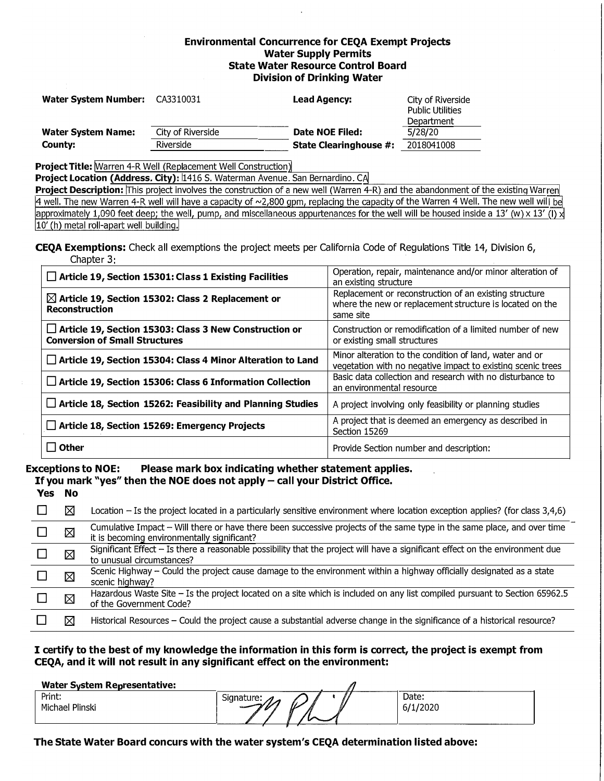#### **Environmental Concurrence for CEQA Exempt Projects Water Supply Permits State Water Resource Control Board Division of Drinking Water**

| <b>Water System Number:</b> | CA3310031         | <b>Lead Agency:</b>           | City of Riverside<br><b>Public Utilities</b><br>Department |  |
|-----------------------------|-------------------|-------------------------------|------------------------------------------------------------|--|
| <b>Water System Name:</b>   | City of Riverside | Date NOE Filed:               | 5/28/20                                                    |  |
| County:                     | <b>Riverside</b>  | <b>State Clearinghouse #:</b> | 2018041008                                                 |  |

**Project Title:** Marren 4-R Well (Replacement Well Construction)

Project Location (Address. City): 1416 S. Waterman Avenue. San Bernardino. C.

**Project Description:** This project involves the construction of a new well (Warren 4-R) and the abandonment of the existing Warı  $\overline{4}$  well. The new Warren 4-R well will have a capacity of  $\sim$ 2,800 gpm, replacing the capacity of the Warren 4 Well. The new well will be rell will be housed inside a  $13'$  (w)  $\times 13'$ 10' (h) metal roll-apart well building.

**CEQA Exemptions:** Check all exemptions the project meets per California Code of Regulations Title 14, Division 6, Chapter 3:

| $\Box$ Article 19, Section 15301: Class 1 Existing Facilities                                          | Operation, repair, maintenance and/or minor alteration of<br>an existing structure                                              |  |  |  |
|--------------------------------------------------------------------------------------------------------|---------------------------------------------------------------------------------------------------------------------------------|--|--|--|
| $\boxtimes$ Article 19, Section 15302: Class 2 Replacement or<br><b>Reconstruction</b>                 | Replacement or reconstruction of an existing structure<br>where the new or replacement structure is located on the<br>same site |  |  |  |
| $\Box$ Article 19, Section 15303: Class 3 New Construction or<br><b>Conversion of Small Structures</b> | Construction or remodification of a limited number of new<br>or existing small structures                                       |  |  |  |
| Article 19, Section 15304: Class 4 Minor Alteration to Land                                            | Minor alteration to the condition of land, water and or<br>vegetation with no negative impact to existing scenic trees          |  |  |  |
| $\Box$ Article 19, Section 15306: Class 6 Information Collection                                       | Basic data collection and research with no disturbance to<br>an environmental resource                                          |  |  |  |
| $\Box$ Article 18, Section 15262: Feasibility and Planning Studies                                     | A project involving only feasibility or planning studies                                                                        |  |  |  |
| Article 18, Section 15269: Emergency Projects                                                          | A project that is deemed an emergency as described in<br>Section 15269                                                          |  |  |  |
| l l Other                                                                                              | Provide Section number and description:                                                                                         |  |  |  |

### **Exceptions to NOE: Please mark box indicating whether statement applies.**

**If you mark "yes" then the NOE does not apply - call your District Office.** 

|   | Location – Is the project located in a particularly sensitive environment where location exception applies? (for class 3,4,6)                                          |
|---|------------------------------------------------------------------------------------------------------------------------------------------------------------------------|
| ⊠ | Cumulative Impact - Will there or have there been successive projects of the same type in the same place, and over time<br>it is becoming environmentally significant? |
| ⊠ | Significant Effect - Is there a reasonable possibility that the project will have a significant effect on the environment due<br>to unusual circumstances?             |
| ⊠ | Scenic Highway - Could the project cause damage to the environment within a highway officially designated as a state<br>scenic highway?                                |
| ⊠ | Hazardous Waste Site - Is the project located on a site which is included on any list compiled pursuant to Section 65962.5<br>of the Government Code?                  |
|   | Historical Resources - Could the project cause a substantial adverse change in the significance of a historical resource?                                              |

#### **I certify to the best of my knowledge the information in this form is correct, the project is exempt from CEQA, and it will not result in any significant effect on the environment:**

| <b>Water System Representative:</b> |            |                   |
|-------------------------------------|------------|-------------------|
| Print:<br>Michael Plinski           | Signature: | Date:<br>6/1/2020 |

**The State Water Board concurs with the water system's CEQA determination listed above:**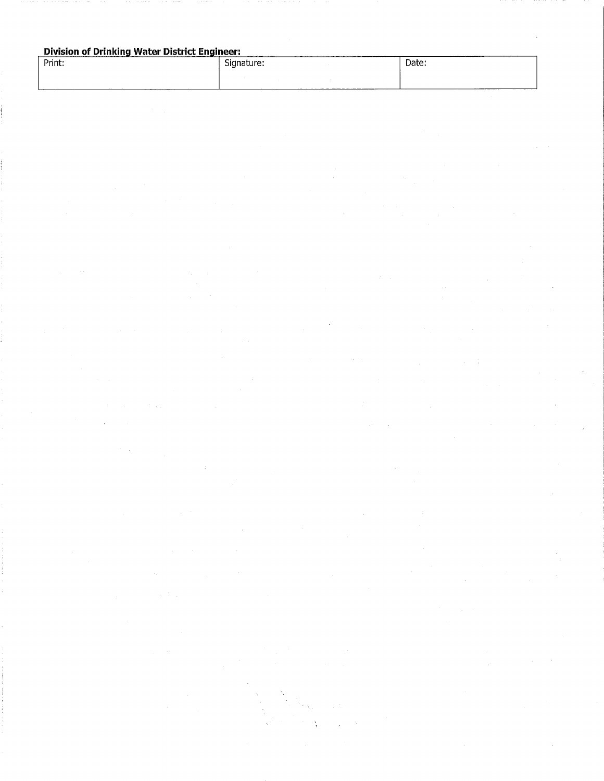#### **Division of Drinking Water District Engineer:**

| ____________<br>_______________<br>Print: | ---------<br>Signature:<br> | Date: |
|-------------------------------------------|-----------------------------|-------|
|                                           |                             |       |